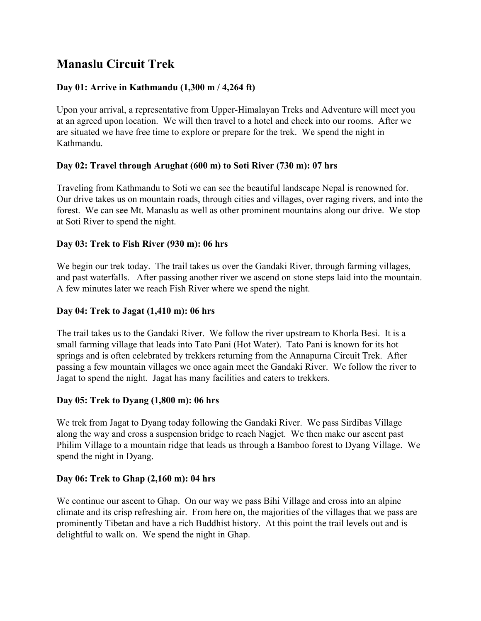# **Manaslu Circuit Trek**

# **Day 01: Arrive in Kathmandu (1,300 m / 4,264 ft)**

Upon your arrival, a representative from Upper-Himalayan Treks and Adventure will meet you at an agreed upon location. We will then travel to a hotel and check into our rooms. After we are situated we have free time to explore or prepare for the trek. We spend the night in Kathmandu.

## **Day 02: Travel through [Arughat](http://www.hiketonepal.com/nepal-trek-manaslu-trekking/#1) (600 m) to Soti River (730 m): 07 hrs**

Traveling from Kathmandu to Soti we can see the beautiful landscape Nepal is renowned for. Our drive takes us on mountain roads, through cities and villages, over raging rivers, and into the forest. We can see Mt. Manaslu as well as other prominent mountains along our drive. We stop at Soti River to spend the night.

## **Day 03: Trek to Fish [River](http://www.hiketonepal.com/nepal-trek-manaslu-trekking/#2) (930 m): 06 hrs**

We begin our trek today. The trail takes us over the Gandaki River, through farming villages, and past waterfalls. After passing another river we ascend on stone steps laid into the mountain. A few minutes later we reach Fish River where we spend the night.

# **Day 04: Trek to Jagat [\(1,410](http://www.hiketonepal.com/nepal-trek-manaslu-trekking/#3) m): 06 hrs**

The trail takes us to the Gandaki River. We follow the river upstream to Khorla Besi. It is a small farming village that leads into Tato Pani (Hot Water). Tato Pani is known for its hot springs and is often celebrated by trekkers returning from the Annapurna Circuit Trek. After passing a few mountain villages we once again meet the Gandaki River. We follow the river to Jagat to spend the night. Jagat has many facilities and caters to trekkers.

## **Day 05: Trek to [Dyang](http://www.hiketonepal.com/nepal-trek-manaslu-trekking/#4) (1,800 m): 06 hrs**

We trek from Jagat to Dyang today following the Gandaki River. We pass Sirdibas Village along the way and cross a suspension bridge to reach Nagjet. We then make our ascent past Philim Village to a mountain ridge that leads us through a Bamboo forest to Dyang Village. We spend the night in Dyang.

## **Day 06: Trek to Ghap [\(2,160](http://www.hiketonepal.com/nepal-trek-manaslu-trekking/#5) m): 04 hrs**

We continue our ascent to Ghap. On our way we pass Bihi Village and cross into an alpine climate and its crisp refreshing air. From here on, the majorities of the villages that we pass are prominently Tibetan and have a rich Buddhist history. At this point the trail levels out and is delightful to walk on. We spend the night in Ghap.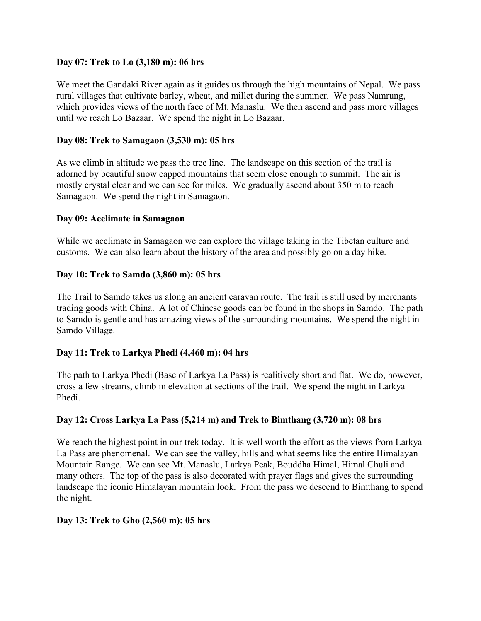## **Day 07: Trek to Lo [\(3,180](http://www.hiketonepal.com/nepal-trek-manaslu-trekking/#6) m): 06 hrs**

We meet the Gandaki River again as it guides us through the high mountains of Nepal. We pass rural villages that cultivate barley, wheat, and millet during the summer. We pass Namrung, which provides views of the north face of Mt. Manaslu. We then ascend and pass more villages until we reach Lo Bazaar. We spend the night in Lo Bazaar.

# **Day 08: Trek to [Samagaon](http://www.hiketonepal.com/nepal-trek-manaslu-trekking/#7) (3,530 m): 05 hrs**

As we climb in altitude we pass the tree line. The landscape on this section of the trail is adorned by beautiful snow capped mountains that seem close enough to summit. The air is mostly crystal clear and we can see for miles. We gradually ascend about 350 m to reach Samagaon. We spend the night in Samagaon.

## **Day 09: Acclimate in [Samagaon](http://www.hiketonepal.com/nepal-trek-manaslu-trekking/#8)**

While we acclimate in Samagaon we can explore the village taking in the Tibetan culture and customs. We can also learn about the history of the area and possibly go on a day hike.

## **Day 10: Trek to [Samdo](http://www.hiketonepal.com/nepal-trek-manaslu-trekking/#9) (3,860 m): 05 hrs**

The Trail to Samdo takes us along an ancient caravan route. The trail is still used by merchants trading goods with China. A lot of Chinese goods can be found in the shops in Samdo. The path to Samdo is gentle and has amazing views of the surrounding mountains. We spend the night in Samdo Village.

# **Day 11: Trek to [Larkya](http://www.hiketonepal.com/nepal-trek-manaslu-trekking/#10) Phedi (4,460 m): 04 hrs**

The path to Larkya Phedi (Base of Larkya La Pass) is realitively short and flat. We do, however, cross a few streams, climb in elevation at sections of the trail. We spend the night in Larkya Phedi.

# **Day 12: Cross Larkya La Pass (5,214 m) and Trek to [Bimthang](http://www.hiketonepal.com/nepal-trek-manaslu-trekking/#11) (3,720 m): 08 hrs**

We reach the highest point in our trek today. It is well worth the effort as the views from Larkya La Pass are phenomenal. We can see the valley, hills and what seems like the entire Himalayan Mountain Range. We can see Mt. Manaslu, Larkya Peak, Bouddha Himal, Himal Chuli and many others. The top of the pass is also decorated with prayer flags and gives the surrounding landscape the iconic Himalayan mountain look. From the pass we descend to Bimthang to spend the night.

## **Day 13: Trek to Gho [\(2,560](http://www.hiketonepal.com/nepal-trek-manaslu-trekking/#12) m): 05 hrs**